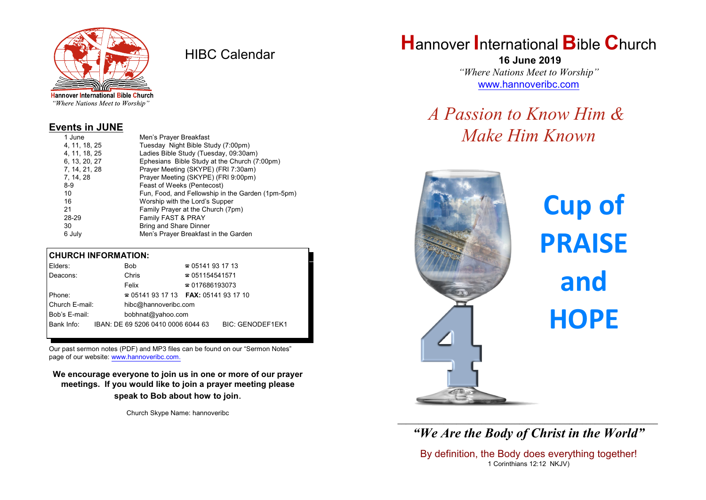

HIBC Calendar

"Where Nations Meet to Worship"

### **Events in JUNE**

| 1 June        | Men's Prayer Breakfast                            |
|---------------|---------------------------------------------------|
| 4, 11, 18, 25 | Tuesday Night Bible Study (7:00pm)                |
| 4, 11, 18, 25 | Ladies Bible Study (Tuesday, 09:30am)             |
| 6, 13, 20, 27 | Ephesians Bible Study at the Church (7:00pm)      |
| 7, 14, 21, 28 | Prayer Meeting (SKYPE) (FRI 7:30am)               |
| 7, 14, 28     | Prayer Meeting (SKYPE) (FRI 9:00pm)               |
| $8-9$         | Feast of Weeks (Pentecost)                        |
| 10            | Fun, Food, and Fellowship in the Garden (1pm-5pm) |
| 16            | Worship with the Lord's Supper                    |
| 21            | Family Prayer at the Church (7pm)                 |
| 28-29         | Family FAST & PRAY                                |
| 30            | Bring and Share Dinner                            |
| 6 July        | Men's Prayer Breakfast in the Garden              |
|               |                                                   |

#### **CHURCH INFORMATION:**

| Elders:        | <b>Bob</b>                               | $\approx 05141931713$  |                         |
|----------------|------------------------------------------|------------------------|-------------------------|
| Deacons:       | Chris                                    | $\approx 051154541571$ |                         |
|                | Felix                                    | $\approx 017686193073$ |                         |
| Phone:         | $\approx 05141931713$ FAX: 0514193 17 10 |                        |                         |
| Church E-mail: | hibc@hannoveribc.com                     |                        |                         |
| Bob's E-mail:  | bobhnat@yahoo.com                        |                        |                         |
| Bank Info:     | IBAN: DE 69 5206 0410 0006 6044 63       |                        | <b>BIC: GENODEF1EK1</b> |
|                |                                          |                        |                         |

Our past sermon notes (PDF) and MP3 files can be found on our "Sermon Notes" page of our website: [www.hannoveribc.com.](http://www.hannoveribc.com.)

**We encourage everyone to join us in one or more of our prayer meetings. If you would like to join a prayer meeting please speak to Bob about how to join**.

Church Skype Name: hannoveribc

# **H**annover **I**nternational **B**ible **C**hurch

 **16 June 2019** *"Where Nations Meet to Worship"* [www.hannoveribc.com](http://www.hannoveribc.com)

# *A Passion to Know Him & Make Him Known*



**Cup of PRAISE and HOPE**

\_\_\_\_\_\_\_\_\_\_\_\_\_\_\_\_\_\_\_\_\_\_\_\_\_\_\_\_\_\_\_\_\_\_\_\_\_\_\_\_\_\_\_\_\_\_\_\_\_\_\_\_\_\_\_\_\_\_\_\_\_\_ *"We Are the Body of Christ in the World"*

By definition, the Body does everything together! 1 Corinthians 12:12 NKJV)